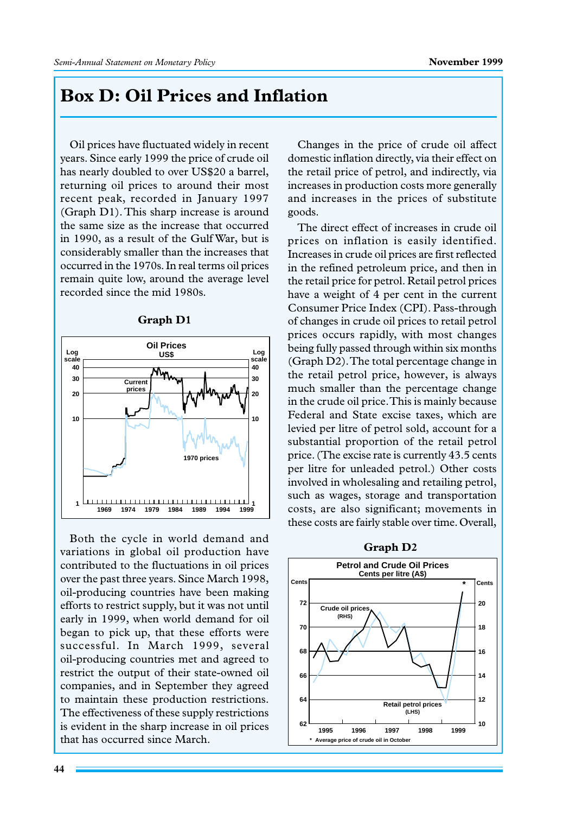## **Box D: Oil Prices and Inflation**

Oil prices have fluctuated widely in recent years. Since early 1999 the price of crude oil has nearly doubled to over US\$20 a barrel, returning oil prices to around their most recent peak, recorded in January 1997 (Graph D1). This sharp increase is around the same size as the increase that occurred in 1990, as a result of the Gulf War, but is considerably smaller than the increases that occurred in the 1970s. In real terms oil prices remain quite low, around the average level recorded since the mid 1980s.



Both the cycle in world demand and variations in global oil production have contributed to the fluctuations in oil prices over the past three years. Since March 1998, oil-producing countries have been making efforts to restrict supply, but it was not until early in 1999, when world demand for oil began to pick up, that these efforts were successful. In March 1999, several oil-producing countries met and agreed to restrict the output of their state-owned oil companies, and in September they agreed to maintain these production restrictions. The effectiveness of these supply restrictions is evident in the sharp increase in oil prices that has occurred since March.

Changes in the price of crude oil affect domestic inflation directly, via their effect on the retail price of petrol, and indirectly, via increases in production costs more generally and increases in the prices of substitute goods.

The direct effect of increases in crude oil prices on inflation is easily identified. Increases in crude oil prices are first reflected in the refined petroleum price, and then in the retail price for petrol. Retail petrol prices have a weight of 4 per cent in the current Consumer Price Index (CPI). Pass-through of changes in crude oil prices to retail petrol prices occurs rapidly, with most changes being fully passed through within six months (Graph D2). The total percentage change in the retail petrol price, however, is always much smaller than the percentage change in the crude oil price. This is mainly because Federal and State excise taxes, which are levied per litre of petrol sold, account for a substantial proportion of the retail petrol price. (The excise rate is currently 43.5 cents per litre for unleaded petrol.) Other costs involved in wholesaling and retailing petrol, such as wages, storage and transportation costs, are also significant; movements in these costs are fairly stable over time. Overall,



**Graph D2**